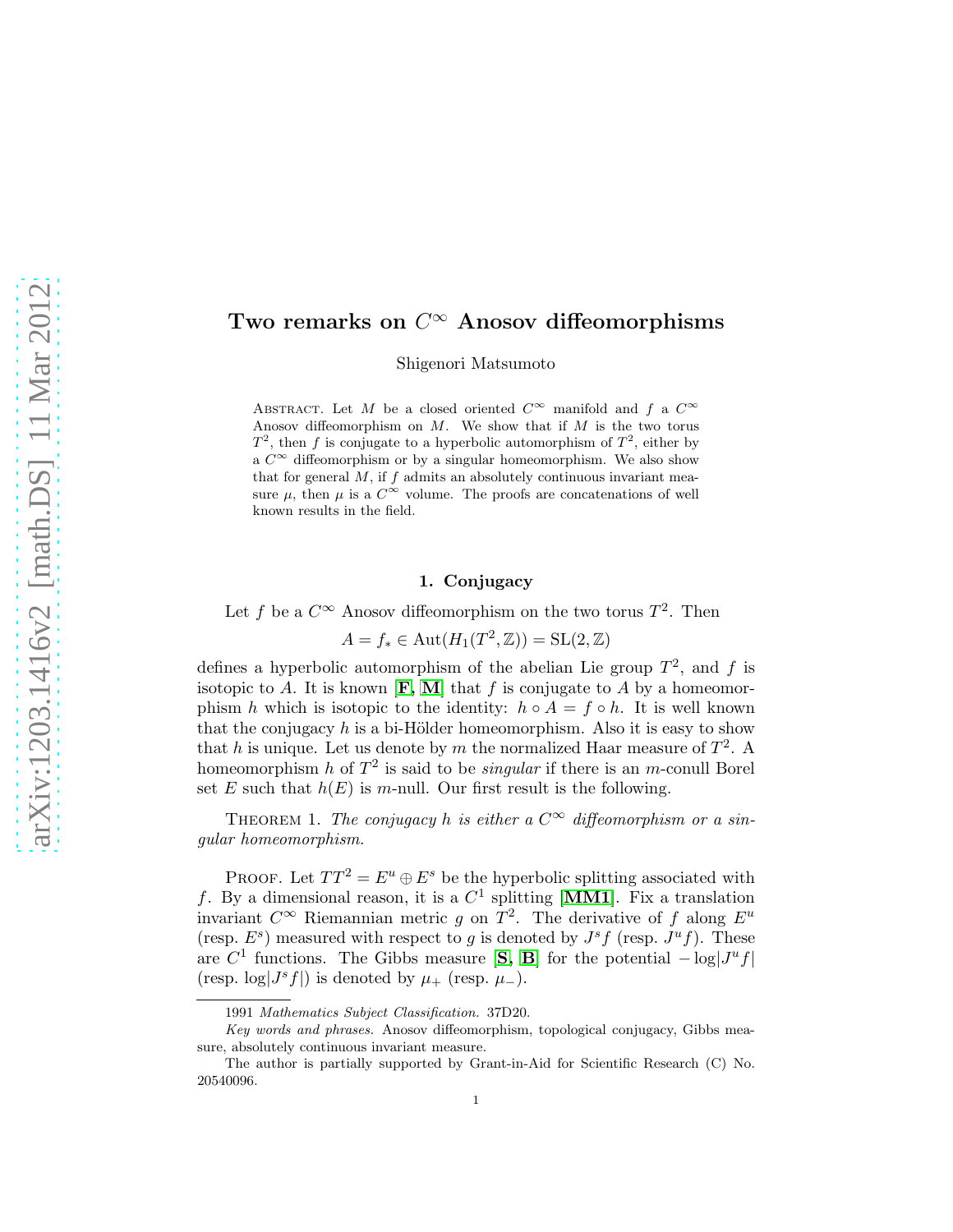## Two remarks on  $C^{\infty}$  Anosov diffeomorphisms

Shigenori Matsumoto

ABSTRACT. Let M be a closed oriented  $C^{\infty}$  manifold and f a  $C^{\infty}$ Anosov diffeomorphism on  $M$ . We show that if  $M$  is the two torus  $T^2$ , then f is conjugate to a hyperbolic automorphism of  $T^2$ , either by a  $C^{\infty}$  diffeomorphism or by a singular homeomorphism. We also show that for general  $M$ , if  $f$  admits an absolutely continuous invariant measure  $\mu$ , then  $\mu$  is a  $C^{\infty}$  volume. The proofs are concatenations of well known results in the field.

## 1. Conjugacy

Let f be a  $C^{\infty}$  Anosov diffeomorphism on the two torus  $T^2$ . Then

$$
A = f_* \in \text{Aut}(H_1(T^2, \mathbb{Z})) = \text{SL}(2, \mathbb{Z})
$$

defines a hyperbolic automorphism of the abelian Lie group  $T^2$ , and f is isotopic to A. It is known  $[F, M]$  $[F, M]$  $[F, M]$  $[F, M]$  that f is conjugate to A by a homeomorphism h which is isotopic to the identity:  $h \circ A = f \circ h$ . It is well known that the conjugacy  $h$  is a bi-Hölder homeomorphism. Also it is easy to show that h is unique. Let us denote by m the normalized Haar measure of  $T^2$ . A homeomorphism h of  $T^2$  is said to be *singular* if there is an m-conull Borel set E such that  $h(E)$  is m-null. Our first result is the following.

THEOREM 1. The conjugacy h is either a  $C^{\infty}$  diffeomorphism or a singular homeomorphism.

PROOF. Let  $TT^2 = E^u \oplus E^s$  be the hyperbolic splitting associated with f. By a dimensional reason, it is a  $C^1$  splitting [[MM1](#page-2-2)]. Fix a translation invariant  $C^{\infty}$  Riemannian metric g on  $T^2$ . The derivative of f along  $E^u$ (resp.  $E^s$ ) measured with respect to g is denoted by  $J^s f$  (resp.  $J^u f$ ). These are  $C^1$  functions. The Gibbs measure [[S,](#page-2-3) [B](#page-2-4)] for the potential  $-\log|J^uf|$ (resp.  $\log(J^s f)$ ) is denoted by  $\mu_+$  (resp.  $\mu_-$ ).

<sup>1991</sup> Mathematics Subject Classification. 37D20.

Key words and phrases. Anosov diffeomorphism, topological conjugacy, Gibbs measure, absolutely continuous invariant measure.

The author is partially supported by Grant-in-Aid for Scientific Research (C) No. 20540096.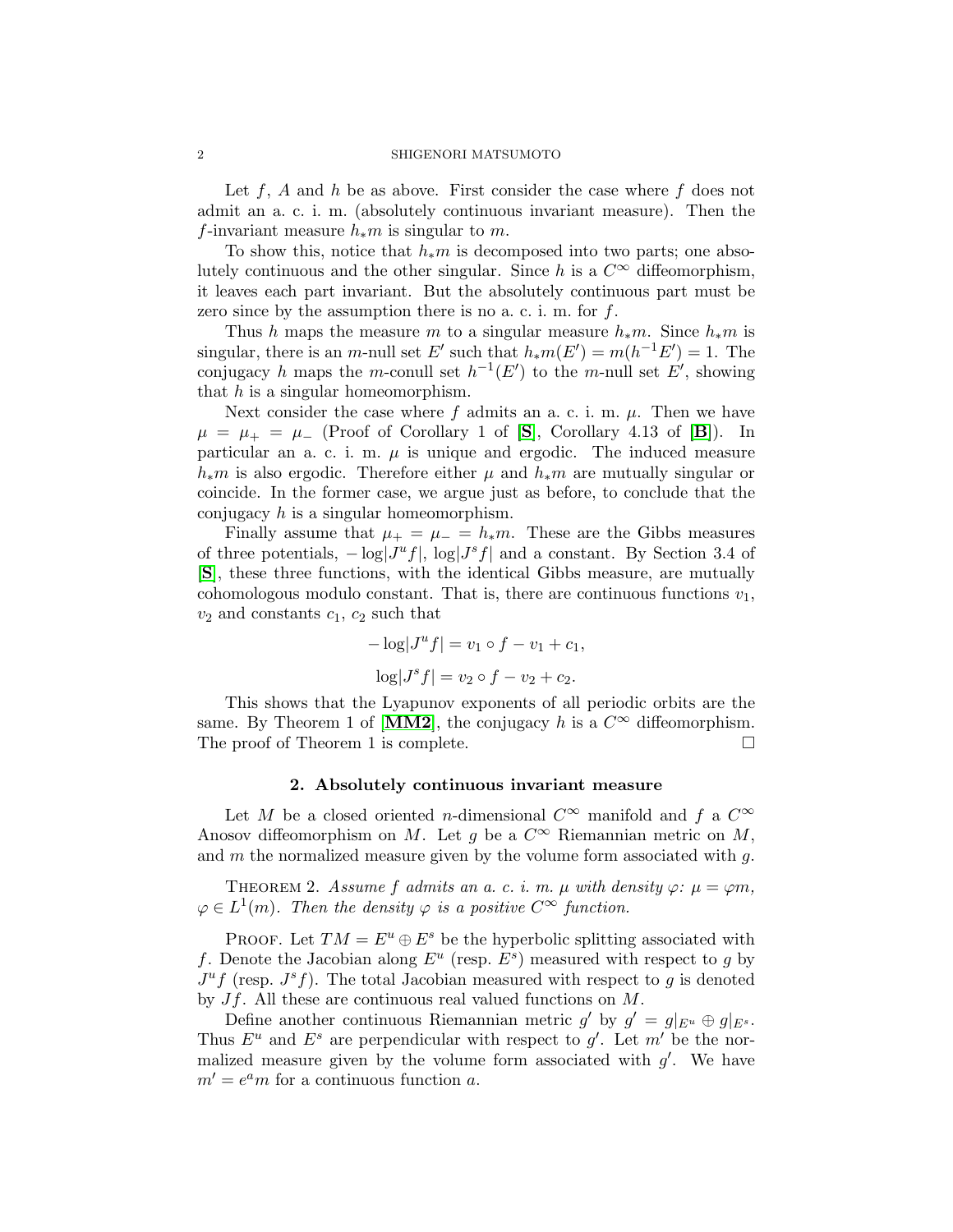Let  $f$ ,  $A$  and  $h$  be as above. First consider the case where  $f$  does not admit an a. c. i. m. (absolutely continuous invariant measure). Then the f-invariant measure  $h_*m$  is singular to m.

To show this, notice that  $h_*m$  is decomposed into two parts; one absolutely continuous and the other singular. Since h is a  $C^{\infty}$  diffeomorphism, it leaves each part invariant. But the absolutely continuous part must be zero since by the assumption there is no a. c. i. m. for  $f$ .

Thus h maps the measure m to a singular measure  $h_*m$ . Since  $h_*m$  is singular, there is an m-null set E' such that  $h_*m(E') = m(h^{-1}E') = 1$ . The conjugacy h maps the m-conull set  $h^{-1}(E')$  to the m-null set E', showing that  $h$  is a singular homeomorphism.

Next consider the case where f admits an a. c. i. m.  $\mu$ . Then we have  $\mu = \mu_+ = \mu_-$  (Proof of Corollary 1 of [[S](#page-2-3)], Corollary 4.13 of [[B](#page-2-4)]). In particular an a. c. i. m.  $\mu$  is unique and ergodic. The induced measure  $h_*m$  is also ergodic. Therefore either  $\mu$  and  $h_*m$  are mutually singular or coincide. In the former case, we argue just as before, to conclude that the conjugacy  $h$  is a singular homeomorphism.

Finally assume that  $\mu_{+} = \mu_{-} = h_{*}m$ . These are the Gibbs measures of three potentials,  $-\log |J^u f|$ ,  $\log |J^s f|$  and a constant. By Section 3.4 of [[S](#page-2-3)], these three functions, with the identical Gibbs measure, are mutually cohomologous modulo constant. That is, there are continuous functions  $v_1$ ,  $v_2$  and constants  $c_1$ ,  $c_2$  such that

$$
-\log|J^u f| = v_1 \circ f - v_1 + c_1,
$$
  

$$
\log|J^s f| = v_2 \circ f - v_2 + c_2.
$$

This shows that the Lyapunov exponents of all periodic orbits are the same. By Theorem 1 of [[MM2](#page-2-5)], the conjugacy h is a  $C^{\infty}$  diffeomorphism. The proof of Theorem 1 is complete.

## 2. Absolutely continuous invariant measure

Let M be a closed oriented n-dimensional  $C^{\infty}$  manifold and f a  $C^{\infty}$ Anosov diffeomorphism on M. Let q be a  $C^{\infty}$  Riemannian metric on M, and  $m$  the normalized measure given by the volume form associated with  $q$ .

THEOREM 2. Assume f admits an a. c. i.m.  $\mu$  with density  $\varphi$ :  $\mu = \varphi m$ ,  $\varphi \in L^1(m)$ . Then the density  $\varphi$  is a positive  $C^{\infty}$  function.

PROOF. Let  $TM = E^u \oplus E^s$  be the hyperbolic splitting associated with f. Denote the Jacobian along  $E^u$  (resp.  $E^s$ ) measured with respect to g by  $J^u f$  (resp.  $J^s f$ ). The total Jacobian measured with respect to g is denoted by  $Jf$ . All these are continuous real valued functions on  $M$ .

Define another continuous Riemannian metric g' by  $g' = g|_{E^u} \oplus g|_{E^s}$ . Thus  $E^u$  and  $E^s$  are perpendicular with respect to g'. Let m' be the normalized measure given by the volume form associated with  $g'$ . We have  $m' = e^a m$  for a continuous function a.